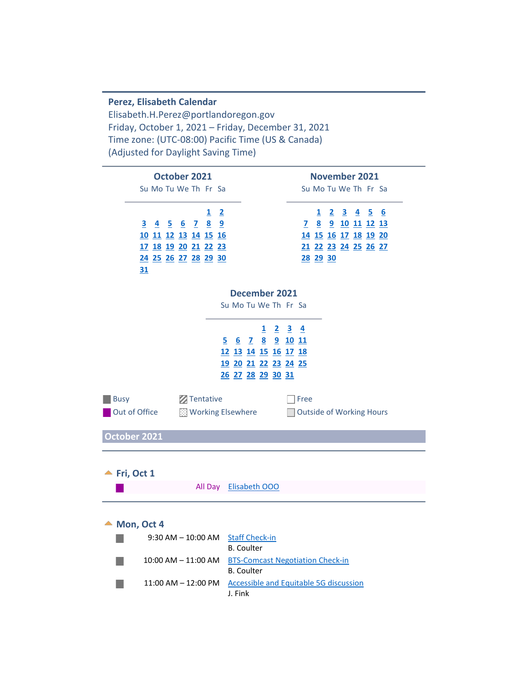**Perez, Elisabeth Calendar** Elisabeth.H.Perez@portlandoregon.gov Friday, October 1, 2021 – Friday, December 31, 2021 Time zone: (UTC-08:00) Pacific Time (US & Canada) (Adjusted for Daylight Saving Time)

<span id="page-0-1"></span><span id="page-0-0"></span>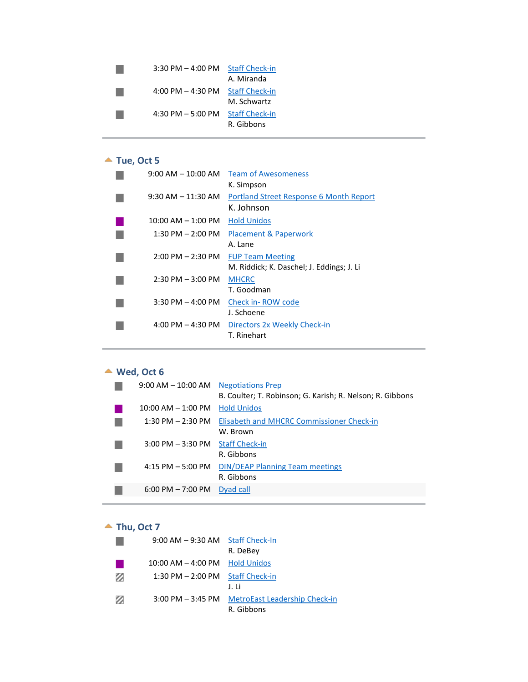| $3:30$ PM $-$ 4:00 PM | <b>Staff Check-in</b> |
|-----------------------|-----------------------|
|                       | A. Miranda            |
| 4:00 PM $-$ 4:30 PM   | <b>Staff Check-in</b> |
|                       | M. Schwartz           |
| 4:30 PM $-5:00$ PM    | <b>Staff Check-in</b> |
|                       | R. Gibbons            |

# ▲ Tue, Oct 5

<span id="page-1-0"></span>

| $9:00$ AM $-$ 10:00 AM | <b>Team of Awesomeness</b>                |
|------------------------|-------------------------------------------|
|                        | K. Simpson                                |
| $9:30$ AM $-11:30$ AM  | Portland Street Response 6 Month Report   |
|                        | K. Johnson                                |
| $10:00$ AM $- 1:00$ PM | <b>Hold Unidos</b>                        |
| $1:30$ PM $- 2:00$ PM  | Placement & Paperwork                     |
|                        | A. Lane                                   |
| $2:00$ PM $- 2:30$ PM  | <b>FUP Team Meeting</b>                   |
|                        | M. Riddick; K. Daschel; J. Eddings; J. Li |
| $2:30$ PM $-3:00$ PM   | <b>MHCRC</b>                              |
|                        | T. Goodman                                |
| $3:30$ PM $-4:00$ PM   | Check in-ROW code                         |
|                        | J. Schoene                                |
| 4:00 PM $-$ 4:30 PM    | Directors 2x Weekly Check-in              |
|                        | T. Rinehart                               |
|                        |                                           |

# **Wed, Oct 6**

<span id="page-1-1"></span>

| $9:00$ AM $-$ 10:00 AM              | <b>Negotiations Prep</b><br>B. Coulter; T. Robinson; G. Karish; R. Nelson; R. Gibbons |
|-------------------------------------|---------------------------------------------------------------------------------------|
| $10:00$ AM $- 1:00$ PM              | <b>Hold Unidos</b>                                                                    |
| $1:30$ PM $- 2:30$ PM               | Elisabeth and MHCRC Commissioner Check-in<br>W. Brown                                 |
| $3:00$ PM $-3:30$ PM                | <b>Staff Check-in</b><br>R. Gibbons                                                   |
| $4:15$ PM $-5:00$ PM                | <b>DIN/DEAP Planning Team meetings</b><br>R. Gibbons                                  |
| $6:00 \text{ PM} - 7:00 \text{ PM}$ | Dyad call                                                                             |

# **Thu, Oct 7**

<span id="page-1-2"></span>

|   | $9:00$ AM $-9:30$ AM Staff Check-In |                                      |
|---|-------------------------------------|--------------------------------------|
|   |                                     | R. DeBey                             |
|   | $10:00$ AM $-$ 4:00 PM              | <b>Hold Unidos</b>                   |
| Ø | $1:30$ PM $- 2:00$ PM               | <b>Staff Check-in</b>                |
|   |                                     | J. H                                 |
| Ø | $3:00$ PM $-3:45$ PM                | <b>MetroEast Leadership Check-in</b> |
|   |                                     | R. Gibbons                           |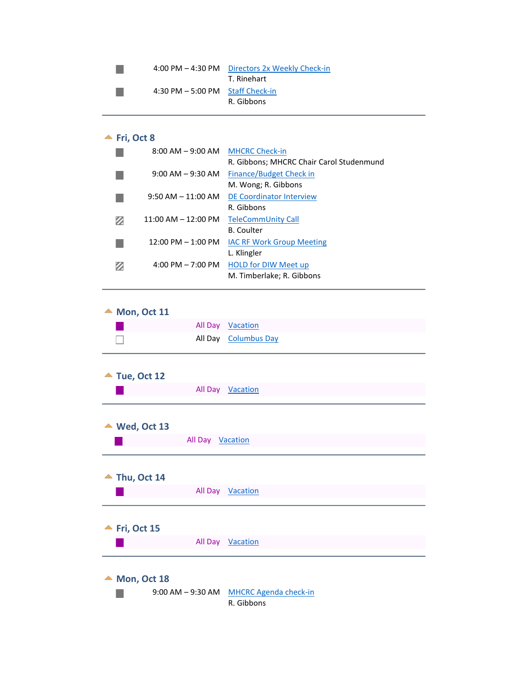|                                                    | 4:00 PM - 4:30 PM Directors 2x Weekly Check-in<br>T. Rinehart |
|----------------------------------------------------|---------------------------------------------------------------|
| $4:30 \text{ PM} - 5:00 \text{ PM}$ Staff Check-in | R. Gibbons                                                    |

# $\blacktriangle$  Fri, Oct 8

<span id="page-2-0"></span>

| $8:00$ AM $-9:00$ AM    | <b>MHCRC Check-in</b><br>R. Gibbons; MHCRC Chair Carol Studenmund |
|-------------------------|-------------------------------------------------------------------|
| $9:00$ AM $-9:30$ AM    | Finance/Budget Check in<br>M. Wong; R. Gibbons                    |
| $9:50$ AM $-11:00$ AM   | DE Coordinator Interview<br>R. Gibbons                            |
| $11:00$ AM $- 12:00$ PM | TeleCommUnity Call<br><b>B.</b> Coulter                           |
| $12:00$ PM $-1:00$ PM   | <b>IAC RF Work Group Meeting</b><br>L. Klingler                   |
| 4:00 PM $-7:00$ PM      | <b>HOLD for DIW Meet up</b><br>M. Timberlake; R. Gibbons          |

<span id="page-2-1"></span>

| $\blacktriangle$ Mon, Oct 11 |  |                  |  |  |
|------------------------------|--|------------------|--|--|
|                              |  | All Day Vacation |  |  |
|                              |  | All Day Columbus |  |  |

<span id="page-2-3"></span><span id="page-2-2"></span>

|   |                              | All Day Columbus Day                    |  |
|---|------------------------------|-----------------------------------------|--|
|   |                              |                                         |  |
|   | $\blacktriangle$ Tue, Oct 12 |                                         |  |
|   |                              | All Day Vacation                        |  |
|   |                              |                                         |  |
|   | ▲ Wed, Oct 13                |                                         |  |
|   |                              | All Day Vacation                        |  |
|   |                              |                                         |  |
| ▲ | Thu, Oct 14                  |                                         |  |
|   |                              | All Day Vacation                        |  |
|   |                              |                                         |  |
|   | Fri, Oct 15                  |                                         |  |
|   |                              | All Day Vacation                        |  |
|   |                              |                                         |  |
|   | Mon, Oct 18                  |                                         |  |
|   |                              | 9:00 AM - 9:30 AM MHCRC Agenda check-in |  |

<span id="page-2-6"></span><span id="page-2-5"></span><span id="page-2-4"></span>R. Gibbons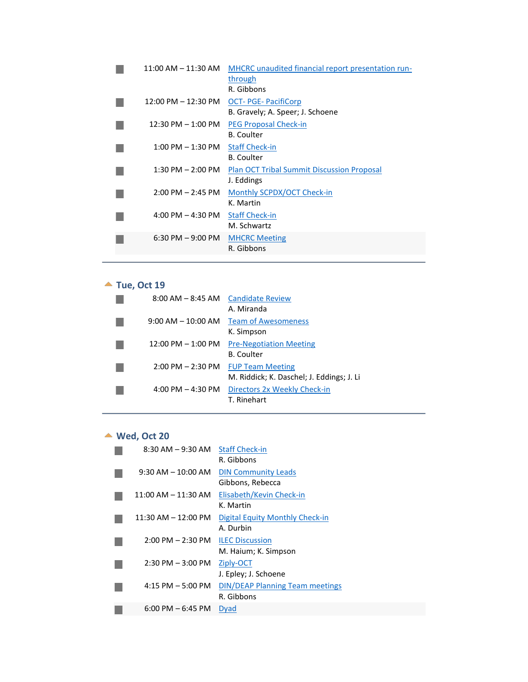| $11:00$ AM $- 11:30$ AM               | MHCRC unaudited financial report presentation run-<br>through<br>R. Gibbons |
|---------------------------------------|-----------------------------------------------------------------------------|
| $12:00 \text{ PM} - 12:30 \text{ PM}$ | <b>OCT-PGE-PacifiCorp</b><br>B. Gravely; A. Speer; J. Schoene               |
| $12:30$ PM $-1:00$ PM                 | <b>PEG Proposal Check-in</b><br><b>B.</b> Coulter                           |
| $1:00$ PM $-1:30$ PM                  | <b>Staff Check-in</b><br><b>B.</b> Coulter                                  |
| $1:30$ PM $- 2:00$ PM                 | <b>Plan OCT Tribal Summit Discussion Proposal</b><br>J. Eddings             |
| $2:00$ PM $- 2:45$ PM                 | Monthly SCPDX/OCT Check-in<br>K. Martin                                     |
| $4:00$ PM $- 4:30$ PM                 | <b>Staff Check-in</b><br>M. Schwartz                                        |
| $6:30$ PM $-9:00$ PM                  | <b>MHCRC Meeting</b><br>R. Gibbons                                          |
|                                       |                                                                             |

# ▲ Tue, Oct 19

<span id="page-3-0"></span>

| $8:00$ AM $-$ 8:45 AM  | <b>Candidate Review</b>                   |
|------------------------|-------------------------------------------|
|                        | A. Miranda                                |
| $9:00$ AM $- 10:00$ AM | <b>Team of Awesomeness</b>                |
|                        | K. Simpson                                |
| $12:00$ PM $- 1:00$ PM | <b>Pre-Negotiation Meeting</b>            |
|                        | B. Coulter                                |
| $2:00$ PM $- 2:30$ PM  | <b>FUP Team Meeting</b>                   |
|                        | M. Riddick; K. Daschel; J. Eddings; J. Li |
| 4:00 PM $-$ 4:30 PM    | Directors 2x Weekly Check-in              |
|                        | T. Rinehart                               |

# **Wed, Oct 20**

<span id="page-3-1"></span>

| $8:30$ AM $-9:30$ AM    | <b>Staff Check-in</b><br>R. Gibbons                  |
|-------------------------|------------------------------------------------------|
| $9:30$ AM $- 10:00$ AM  | <b>DIN Community Leads</b><br>Gibbons, Rebecca       |
| $11:00$ AM $- 11:30$ AM | Elisabeth/Kevin Check-in<br>K. Martin                |
| $11:30$ AM $- 12:00$ PM | Digital Equity Monthly Check-in<br>A. Durbin         |
| $2:00$ PM $- 2:30$ PM   | <b>ILEC Discussion</b><br>M. Haium; K. Simpson       |
| $2:30$ PM $-3:00$ PM    | Ziply-OCT<br>J. Epley; J. Schoene                    |
| $4:15$ PM $-5:00$ PM    | <b>DIN/DEAP Planning Team meetings</b><br>R. Gibbons |
| $6:00$ PM $-6:45$ PM    | Dyad                                                 |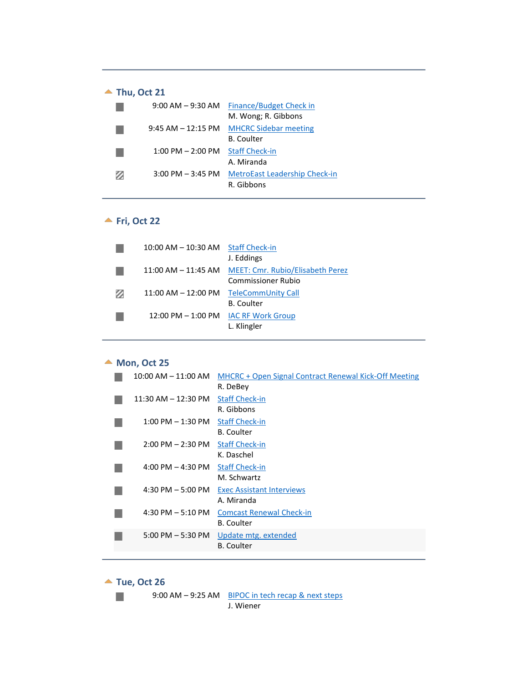# ▲ Thu, Oct 21

<span id="page-4-0"></span>

|   | $9:00$ AM $-9:30$ AM  | Finance/Budget Check in              |
|---|-----------------------|--------------------------------------|
|   |                       | M. Wong; R. Gibbons                  |
|   | $9:45$ AM $-12:15$ PM | <b>MHCRC Sidebar meeting</b>         |
|   |                       | <b>B.</b> Coulter                    |
|   | $1:00$ PM $- 2:00$ PM | <b>Staff Check-in</b>                |
|   |                       | A. Miranda                           |
| Ø | $3:00$ PM $-3:45$ PM  | <b>MetroEast Leadership Check-in</b> |
|   |                       | R. Gibbons                           |

# **<u>★ Fri, Oct 22</u>**

<span id="page-4-1"></span>

|   | 10:00 AM - 10:30 AM Staff Check-in |                                                      |
|---|------------------------------------|------------------------------------------------------|
|   |                                    | J. Eddings                                           |
|   |                                    | 11:00 AM - 11:45 AM MEET: Cmr. Rubio/Elisabeth Perez |
|   |                                    | Commissioner Rubio                                   |
| Ø | $11:00$ AM $- 12:00$ PM            | TeleCommUnity Call                                   |
|   |                                    | <b>B.</b> Coulter                                    |
|   | $12:00$ PM $-1:00$ PM              | <b>IAC RF Work Group</b>                             |
|   |                                    | L. Klingler                                          |
|   |                                    |                                                      |

# ▲ Mon, Oct 25

<span id="page-4-2"></span>

| $10:00$ AM $- 11:00$ AM             | MHCRC + Open Signal Contract Renewal Kick-Off Meeting |
|-------------------------------------|-------------------------------------------------------|
|                                     | R. DeBey                                              |
| $11:30$ AM $- 12:30$ PM             | <b>Staff Check-in</b>                                 |
|                                     | R. Gibbons                                            |
| $1:00$ PM $-1:30$ PM                | <b>Staff Check-in</b>                                 |
|                                     | <b>B.</b> Coulter                                     |
| $2:00$ PM $- 2:30$ PM               | <b>Staff Check-in</b>                                 |
|                                     | K. Daschel                                            |
| $4:00 \text{ PM} - 4:30 \text{ PM}$ | <b>Staff Check-in</b>                                 |
|                                     | M. Schwartz                                           |
| $4:30$ PM $-5:00$ PM                | <b>Exec Assistant Interviews</b>                      |
|                                     | A. Miranda                                            |
| $4:30$ PM $-5:10$ PM                | <b>Comcast Renewal Check-in</b>                       |
|                                     | <b>B.</b> Coulter                                     |
| $5:00$ PM $-5:30$ PM                | Update mtg. extended                                  |
|                                     | <b>B.</b> Coulter                                     |
|                                     |                                                       |

▲ Tue, Oct 26

**College** 

<span id="page-4-3"></span>9:00 AM – 9:25 AM BIPOC in tech recap & next steps

J. Wiener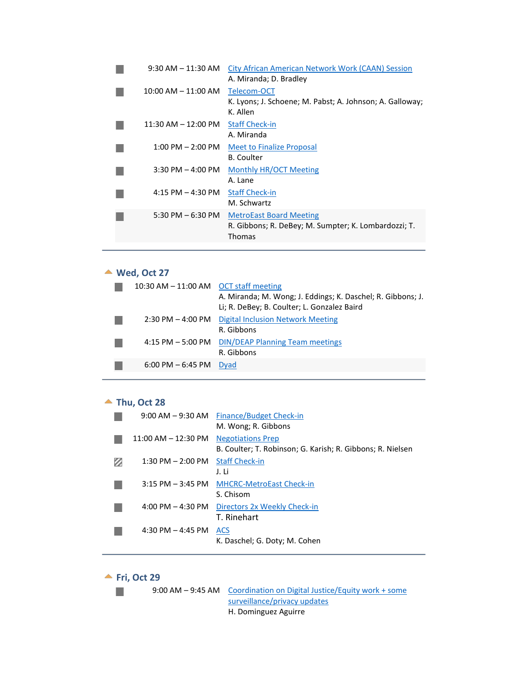| $9:30$ AM $-11:30$ AM   | City African American Network Work (CAAN) Session<br>A. Miranda; D. Bradley                      |
|-------------------------|--------------------------------------------------------------------------------------------------|
| $10:00$ AM $- 11:00$ AM | Telecom-OCT<br>K. Lyons; J. Schoene; M. Pabst; A. Johnson; A. Galloway;<br>K. Allen              |
| 11:30 AM – 12:00 PM     | <b>Staff Check-in</b><br>A. Miranda                                                              |
| $1:00$ PM $- 2:00$ PM   | <b>Meet to Finalize Proposal</b><br><b>B.</b> Coulter                                            |
| $3:30$ PM $-$ 4:00 PM   | Monthly HR/OCT Meeting<br>A. Lane                                                                |
| $4:15$ PM $- 4:30$ PM   | <b>Staff Check-in</b><br>M. Schwartz                                                             |
| 5:30 PM $-6:30$ PM      | <b>MetroEast Board Meeting</b><br>R. Gibbons; R. DeBey; M. Sumpter; K. Lombardozzi; T.<br>Thomas |

# **Wed, Oct 27**

<span id="page-5-0"></span>

| 10:30 AM $-$ 11:00 AM OCT staff meeting                           |  |
|-------------------------------------------------------------------|--|
| A. Miranda; M. Wong; J. Eddings; K. Daschel; R. Gibbons; J.       |  |
| Li; R. DeBey; B. Coulter; L. Gonzalez Baird                       |  |
| <b>Digital Inclusion Network Meeting</b><br>$2:30$ PM $-$ 4:00 PM |  |
| R. Gibbons                                                        |  |
| 4:15 PM – 5:00 PM DIN/DEAP Planning Team meetings                 |  |
| R. Gibbons                                                        |  |
| $6:00 \text{ PM} - 6:45 \text{ PM}$<br>Dyad                       |  |

#### ▲ Thu, Oct 28

<span id="page-5-1"></span>

| $9:00$ AM $-9:30$ AM    | Finance/Budget Check-in<br>M. Wong; R. Gibbons                                         |
|-------------------------|----------------------------------------------------------------------------------------|
| $11:00$ AM $- 12:30$ PM | <b>Negotiations Prep</b><br>B. Coulter; T. Robinson; G. Karish; R. Gibbons; R. Nielsen |
| $1:30$ PM $- 2:00$ PM   | <b>Staff Check-in</b><br>J. Li                                                         |
| $3:15$ PM $-3:45$ PM    | <b>MHCRC-MetroEast Check-in</b><br>S. Chisom                                           |
| 4:00 PM $-$ 4:30 PM     | Directors 2x Weekly Check-in<br>T. Rinehart                                            |
| 4:30 PM $-$ 4:45 PM     | <b>ACS</b><br>K. Daschel; G. Doty; M. Cohen                                            |

#### ▲ Fri, Oct 29

 $\mathcal{C}^{\mathcal{A}}$ 

<span id="page-5-2"></span>9:00 AM – 9:45 AM Coordination on Digital Justice/Equity work + some surveillance/privacy updates H. Dominguez Aguirre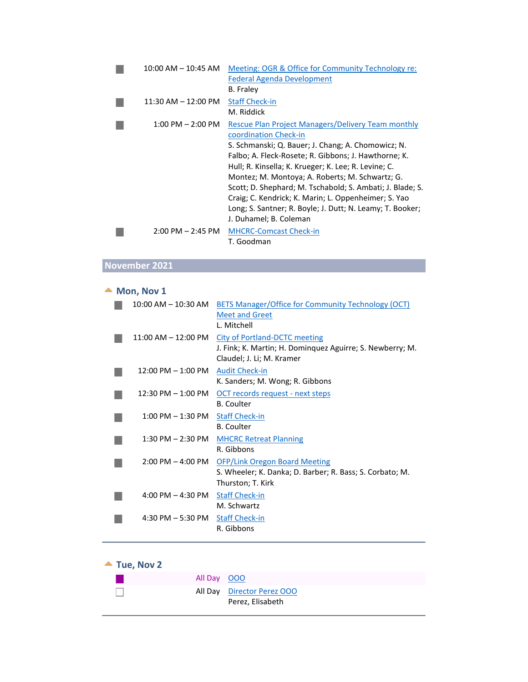| $10:00$ AM $- 10:45$ AM             | Meeting: OGR & Office for Community Technology re:        |
|-------------------------------------|-----------------------------------------------------------|
|                                     | <b>Federal Agenda Development</b>                         |
|                                     | <b>B.</b> Fraley                                          |
| $11:30$ AM $- 12:00$ PM             | <b>Staff Check-in</b>                                     |
|                                     | M. Riddick                                                |
| $1:00$ PM $- 2:00$ PM               | <b>Rescue Plan Project Managers/Delivery Team monthly</b> |
|                                     | coordination Check-in                                     |
|                                     | S. Schmanski; Q. Bauer; J. Chang; A. Chomowicz; N.        |
|                                     | Falbo; A. Fleck-Rosete; R. Gibbons; J. Hawthorne; K.      |
|                                     | Hull; R. Kinsella; K. Krueger; K. Lee; R. Levine; C.      |
|                                     | Montez; M. Montoya; A. Roberts; M. Schwartz; G.           |
|                                     | Scott; D. Shephard; M. Tschabold; S. Ambati; J. Blade; S. |
|                                     | Craig; C. Kendrick; K. Marin; L. Oppenheimer; S. Yao      |
|                                     | Long; S. Santner; R. Boyle; J. Dutt; N. Leamy; T. Booker; |
|                                     | J. Duhamel; B. Coleman                                    |
|                                     |                                                           |
| $2:00 \text{ PM} - 2:45 \text{ PM}$ | <b>MHCRC-Comcast Check-in</b>                             |
|                                     | T. Goodman                                                |

# **November 2021**

# $\triangle$  Mon, Nov 1

<span id="page-6-0"></span>

| 10:00 AM – 10:30 AM                  | <b>BETS Manager/Office for Community Technology (OCT)</b> |
|--------------------------------------|-----------------------------------------------------------|
|                                      | <b>Meet and Greet</b>                                     |
|                                      | L. Mitchell                                               |
| $11:00$ AM $- 12:00$ PM              | City of Portland-DCTC meeting                             |
|                                      | J. Fink; K. Martin; H. Dominguez Aguirre; S. Newberry; M. |
|                                      | Claudel; J. Li; M. Kramer                                 |
| $12:00 \text{ PM} - 1:00 \text{ PM}$ | <b>Audit Check-in</b>                                     |
|                                      | K. Sanders; M. Wong; R. Gibbons                           |
| $12:30$ PM $-1:00$ PM                | OCT records request - next steps                          |
|                                      | <b>B.</b> Coulter                                         |
| $1:00$ PM $-1:30$ PM                 | <b>Staff Check-in</b>                                     |
|                                      | <b>B.</b> Coulter                                         |
| $1:30$ PM $- 2:30$ PM                | <b>MHCRC Retreat Planning</b>                             |
|                                      | R. Gibbons                                                |
| $2:00 \text{ PM} - 4:00 \text{ PM}$  | <b>OFP/Link Oregon Board Meeting</b>                      |
|                                      | S. Wheeler; K. Danka; D. Barber; R. Bass; S. Corbato; M.  |
|                                      | Thurston; T. Kirk                                         |
| $4:00$ PM $- 4:30$ PM                | <b>Staff Check-in</b>                                     |
|                                      | M. Schwartz                                               |
| 4:30 PM $-$ 5:30 PM                  | <b>Staff Check-in</b>                                     |
|                                      | R. Gibbons                                                |
|                                      |                                                           |

# **▲ Tue, Nov 2**

<span id="page-6-1"></span>

| All Day 000 |                                                |
|-------------|------------------------------------------------|
|             | All Day Director Perez 000<br>Perez, Elisabeth |
|             |                                                |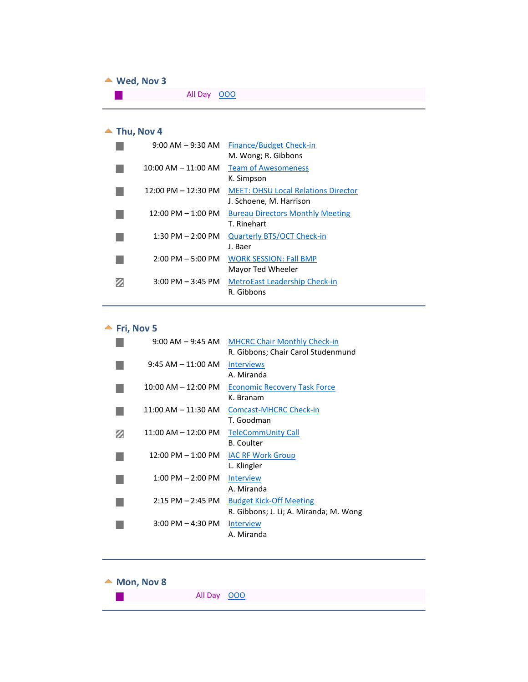#### ▲ Wed, Nov 3

<span id="page-7-0"></span>All Day 000  $\mathcal{L}_{\mathcal{A}}$ 

# ▲ Thu, Nov 4

<span id="page-7-1"></span>

| $9:00$ AM $-9:30$ AM                 | <b>Finance/Budget Check-in</b><br>M. Wong; R. Gibbons                 |
|--------------------------------------|-----------------------------------------------------------------------|
| $10:00$ AM $- 11:00$ AM              | <b>Team of Awesomeness</b><br>K. Simpson                              |
| $12:00$ PM $- 12:30$ PM              | <b>MEET: OHSU Local Relations Director</b><br>J. Schoene, M. Harrison |
| $12:00 \text{ PM} - 1:00 \text{ PM}$ | <b>Bureau Directors Monthly Meeting</b><br>T. Rinehart                |
| $1:30$ PM $- 2:00$ PM                | <b>Quarterly BTS/OCT Check-in</b><br>J. Baer                          |
| $2:00$ PM $-5:00$ PM                 | <b>WORK SESSION: Fall BMP</b><br>Mayor Ted Wheeler                    |
| $3:00$ PM $-3:45$ PM                 | <b>MetroEast Leadership Check-in</b><br>R. Gibbons                    |

**<u>★ Fri, Nov 5</u>** 

<span id="page-7-2"></span>

| $9:00$ AM $-9:45$ AM                | <b>MHCRC Chair Monthly Check-in</b><br>R. Gibbons: Chair Carol Studenmund |
|-------------------------------------|---------------------------------------------------------------------------|
| $9:45 AM - 11:00 AM$                | <b>Interviews</b><br>A. Miranda                                           |
| $10:00$ AM $- 12:00$ PM             | <b>Economic Recovery Task Force</b><br>K. Branam                          |
| $11:00$ AM $- 11:30$ AM             | Comcast-MHCRC Check-in<br>T. Goodman                                      |
| 11:00 AM - 12:00 PM                 | <b>TeleCommUnity Call</b><br>B. Coulter                                   |
| $12:00$ PM $-1:00$ PM               | <b>IAC RF Work Group</b><br>L. Klingler                                   |
| $1:00$ PM $- 2:00$ PM               | <b>Interview</b><br>A. Miranda                                            |
| $2:15$ PM $- 2:45$ PM               | <b>Budget Kick-Off Meeting</b><br>R. Gibbons; J. Li; A. Miranda; M. Wong  |
| $3:00 \text{ PM} - 4:30 \text{ PM}$ | <b>Interview</b><br>A. Miranda                                            |

<span id="page-7-3"></span>

| $\triangle$ Mon, Nov 8 |             |  |  |  |
|------------------------|-------------|--|--|--|
|                        | All Day 000 |  |  |  |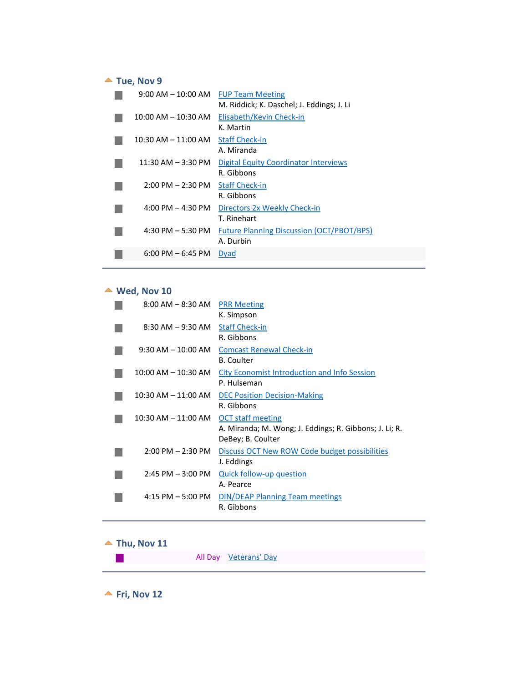# ▲ Tue, Nov 9

<span id="page-8-0"></span>

| $9:00$ AM $-$ 10:00 AM              | <b>FUP Team Meeting</b>                          |
|-------------------------------------|--------------------------------------------------|
|                                     | M. Riddick; K. Daschel; J. Eddings; J. Li        |
| $10:00$ AM $- 10:30$ AM             | Elisabeth/Kevin Check-in                         |
|                                     | K. Martin                                        |
| $10:30$ AM $ 11:00$ AM              | <b>Staff Check-in</b>                            |
|                                     | A. Miranda                                       |
| $11:30$ AM $-$ 3:30 PM              | <b>Digital Equity Coordinator Interviews</b>     |
|                                     | R. Gibbons                                       |
| $2:00$ PM $- 2:30$ PM               | <b>Staff Check-in</b>                            |
|                                     | R. Gibbons                                       |
| $4:00 \text{ PM} - 4:30 \text{ PM}$ | Directors 2x Weekly Check-in                     |
|                                     | T. Rinehart                                      |
| 4:30 PM $-5:30$ PM                  | <b>Future Planning Discussion (OCT/PBOT/BPS)</b> |
|                                     | A. Durbin                                        |
| $6:00$ PM $-6:45$ PM                | <b>Dyad</b>                                      |

# **Wed, Nov 10**

<span id="page-8-1"></span>

| $8:00$ AM $-$ 8:30 AM   | <b>PRR Meeting</b><br>K. Simpson                                                                        |
|-------------------------|---------------------------------------------------------------------------------------------------------|
| $8:30$ AM $-9:30$ AM    | <b>Staff Check-in</b><br>R. Gibbons                                                                     |
| $9:30$ AM $- 10:00$ AM  | <b>Comcast Renewal Check-in</b><br><b>B.</b> Coulter                                                    |
| $10:00$ AM $- 10:30$ AM | <b>City Economist Introduction and Info Session</b><br>P. Hulseman                                      |
| 10:30 AM – 11:00 AM     | <b>DEC Position Decision-Making</b><br>R. Gibbons                                                       |
| 10:30 AM – 11:00 AM     | <b>OCT</b> staff meeting<br>A. Miranda; M. Wong; J. Eddings; R. Gibbons; J. Li; R.<br>DeBey; B. Coulter |
| $2:00$ PM $- 2:30$ PM   | <b>Discuss OCT New ROW Code budget possibilities</b><br>J. Eddings                                      |
| $2:45$ PM $-3:00$ PM    | Quick follow-up question<br>A. Pearce                                                                   |
| $4:15$ PM $-5:00$ PM    | <b>DIN/DEAP Planning Team meetings</b><br>R. Gibbons                                                    |

#### <span id="page-8-2"></span> $\blacktriangle$  Thu, Nov 11

|  | All Day Veterans' Day |
|--|-----------------------|
|  |                       |

<span id="page-8-3"></span> $\blacktriangle$  Fri, Nov 12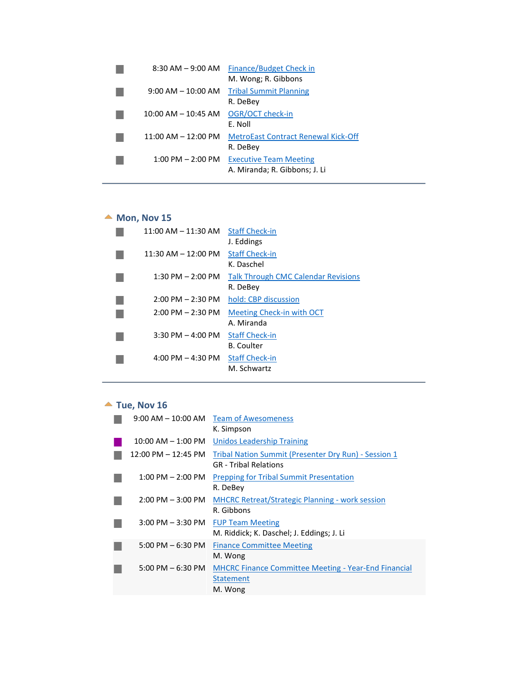| $8:30$ AM $-9:00$ AM                 | Finance/Budget Check in<br>M. Wong; R. Gibbons                 |
|--------------------------------------|----------------------------------------------------------------|
| $9:00 \text{ AM} - 10:00 \text{ AM}$ | <b>Tribal Summit Planning</b><br>R. DeBey                      |
| $10:00$ AM $- 10:45$ AM              | OGR/OCT check-in<br>E. Noll                                    |
| $11:00$ AM $- 12:00$ PM              | <b>MetroEast Contract Renewal Kick-Off</b><br>R. DeBey         |
| $1:00 \text{ PM} - 2:00 \text{ PM}$  | <b>Executive Team Meeting</b><br>A. Miranda; R. Gibbons; J. Li |

# $M$  Mon, Nov 15

<span id="page-9-0"></span>

| $11:00$ AM $- 11:30$ AM | <b>Staff Check-in</b>                      |
|-------------------------|--------------------------------------------|
|                         | J. Eddings                                 |
| 11:30 AM - 12:00 PM     | <b>Staff Check-in</b>                      |
|                         | K. Daschel                                 |
| $1:30$ PM $- 2:00$ PM   | <b>Talk Through CMC Calendar Revisions</b> |
|                         | R. DeBey                                   |
| $2:00$ PM $- 2:30$ PM   | hold: CBP discussion                       |
| $2:00$ PM $- 2:30$ PM   | Meeting Check-in with OCT                  |
|                         | A. Miranda                                 |
| $3:30$ PM $-4:00$ PM    | <b>Staff Check-in</b>                      |
|                         | <b>B.</b> Coulter                          |
| $4:00$ PM $-4:30$ PM    | <b>Staff Check-in</b>                      |
|                         | M. Schwartz                                |
|                         |                                            |

# $\blacktriangle$  Tue, Nov 16

<span id="page-9-1"></span>

|                                     | 9:00 AM – 10:00 AM Team of Awesomeness                      |
|-------------------------------------|-------------------------------------------------------------|
|                                     | K. Simpson                                                  |
| $10:00$ AM $-$ 1:00 PM              | <b>Unidos Leadership Training</b>                           |
| $12:00$ PM $-12:45$ PM              | Tribal Nation Summit (Presenter Dry Run) - Session 1        |
|                                     | <b>GR</b> - Tribal Relations                                |
| $1:00$ PM $- 2:00$ PM               | <b>Prepping for Tribal Summit Presentation</b>              |
|                                     | R. DeBey                                                    |
| $2:00 \text{ PM} - 3:00 \text{ PM}$ | <b>MHCRC Retreat/Strategic Planning - work session</b>      |
|                                     | R. Gibbons                                                  |
| $3:00$ PM $-3:30$ PM                | <b>FUP Team Meeting</b>                                     |
|                                     | M. Riddick; K. Daschel; J. Eddings; J. Li                   |
| $5:00 \text{ PM} - 6:30 \text{ PM}$ | <b>Finance Committee Meeting</b>                            |
|                                     | M. Wong                                                     |
| $5:00 \text{ PM} - 6:30 \text{ PM}$ | <b>MHCRC Finance Committee Meeting - Year-End Financial</b> |
|                                     | <b>Statement</b>                                            |
|                                     | M. Wong                                                     |
|                                     |                                                             |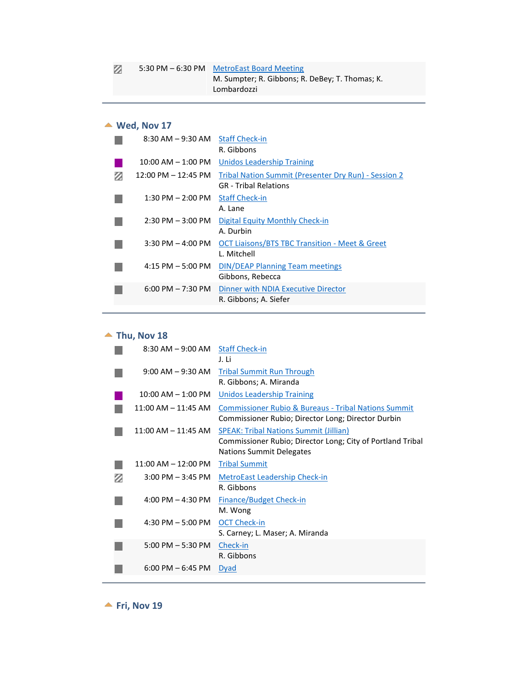# **Wed, Nov 17**

<span id="page-10-0"></span>

|   | 8:30 AM – 9:30 AM      | <b>Staff Check-in</b>                                       |
|---|------------------------|-------------------------------------------------------------|
|   |                        | R. Gibbons                                                  |
|   | $10:00$ AM $- 1:00$ PM | <b>Unidos Leadership Training</b>                           |
| z | $12:00$ PM $-12:45$ PM | <b>Tribal Nation Summit (Presenter Dry Run) - Session 2</b> |
|   |                        | <b>GR</b> - Tribal Relations                                |
|   | $1:30$ PM $- 2:00$ PM  | <b>Staff Check-in</b>                                       |
|   |                        | A. Lane                                                     |
|   | $2:30$ PM $-3:00$ PM   | Digital Equity Monthly Check-in                             |
|   |                        | A. Durbin                                                   |
|   | $3:30$ PM $-$ 4:00 PM  | <b>OCT Liaisons/BTS TBC Transition - Meet &amp; Greet</b>   |
|   |                        | L. Mitchell                                                 |
|   | $4:15$ PM $-5:00$ PM   | <b>DIN/DEAP Planning Team meetings</b>                      |
|   |                        | Gibbons, Rebecca                                            |
|   | $6:00$ PM $-7:30$ PM   | Dinner with NDIA Executive Director                         |
|   |                        | R. Gibbons; A. Siefer                                       |
|   |                        |                                                             |

#### $\blacktriangle$  Thu, Nov 18

<span id="page-10-1"></span>

|   | $8:30$ AM $-9:00$ AM    | <b>Staff Check-in</b>                                           |
|---|-------------------------|-----------------------------------------------------------------|
|   |                         | J. Li                                                           |
|   | $9:00$ AM $-9:30$ AM    | <b>Tribal Summit Run Through</b>                                |
|   |                         | R. Gibbons; A. Miranda                                          |
|   | $10:00$ AM $- 1:00$ PM  | <b>Unidos Leadership Training</b>                               |
|   | $11:00$ AM $- 11:45$ AM | <b>Commissioner Rubio &amp; Bureaus - Tribal Nations Summit</b> |
|   |                         | Commissioner Rubio; Director Long; Director Durbin              |
|   | $11:00$ AM $- 11:45$ AM | SPEAK: Tribal Nations Summit (Jillian)                          |
|   |                         | Commissioner Rubio; Director Long; City of Portland Tribal      |
|   |                         | Nations Summit Delegates                                        |
|   | $11:00$ AM $-12:00$ PM  | <b>Tribal Summit</b>                                            |
| Ø | $3:00$ PM $-3:45$ PM    | <b>MetroEast Leadership Check-in</b>                            |
|   |                         | R. Gibbons                                                      |
|   | 4:00 PM $-$ 4:30 PM     | <b>Finance/Budget Check-in</b>                                  |
|   |                         | M. Wong                                                         |
|   | $4:30$ PM $-5:00$ PM    | <b>OCT Check-in</b>                                             |
|   |                         | S. Carney; L. Maser; A. Miranda                                 |
|   | $5:00$ PM $-5:30$ PM    | Check-in                                                        |
|   |                         | R. Gibbons                                                      |
|   | $6:00$ PM $-6:45$ PM    | <b>Dyad</b>                                                     |
|   |                         |                                                                 |

<span id="page-10-2"></span> $\blacktriangle$  Fri, Nov 19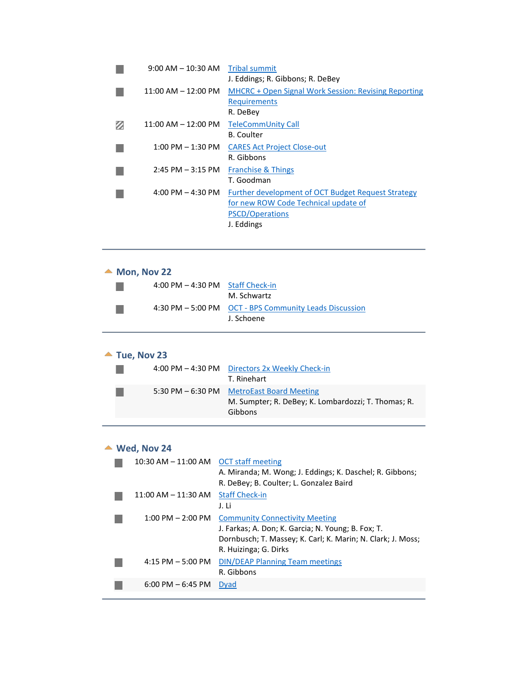| $9:00$ AM $-10:30$ AM               | <b>Tribal summit</b>                                 |
|-------------------------------------|------------------------------------------------------|
|                                     | J. Eddings; R. Gibbons; R. DeBey                     |
| $11:00$ AM $- 12:00$ PM             | MHCRC + Open Signal Work Session: Revising Reporting |
|                                     | <b>Requirements</b>                                  |
|                                     | R. DeBey                                             |
| 11:00 AM – 12:00 PM                 | <b>TeleCommUnity Call</b>                            |
|                                     | <b>B.</b> Coulter                                    |
| $1:00$ PM $-1:30$ PM                | <b>CARES Act Project Close-out</b>                   |
|                                     | R. Gibbons                                           |
| $2:45$ PM $-3:15$ PM                | <b>Franchise &amp; Things</b>                        |
|                                     | T. Goodman                                           |
| $4:00 \text{ PM} - 4:30 \text{ PM}$ | Further development of OCT Budget Request Strategy   |
|                                     | for new ROW Code Technical update of                 |
|                                     | PSCD/Operations                                      |
|                                     | J. Eddings                                           |

<span id="page-11-2"></span><span id="page-11-1"></span><span id="page-11-0"></span>

| Mon, Nov 22             |                                                             |  |  |
|-------------------------|-------------------------------------------------------------|--|--|
| $4:00$ PM $-4:30$ PM    | <b>Staff Check-in</b>                                       |  |  |
|                         | M. Schwartz                                                 |  |  |
| 4:30 PM $-$ 5:00 PM     | <b>OCT - BPS Community Leads Discussion</b>                 |  |  |
|                         | J. Schoene                                                  |  |  |
|                         |                                                             |  |  |
| Tue, Nov 23             |                                                             |  |  |
|                         | 4:00 PM - 4:30 PM Directors 2x Weekly Check-in              |  |  |
|                         | T. Rinehart                                                 |  |  |
| 5:30 PM $-6:30$ PM      | <b>MetroEast Board Meeting</b>                              |  |  |
|                         | M. Sumpter; R. DeBey; K. Lombardozzi; T. Thomas; R.         |  |  |
|                         | Gibbons                                                     |  |  |
|                         |                                                             |  |  |
| Wed, Nov 24             |                                                             |  |  |
| 10:30 AM – 11:00 AM     | <b>OCT staff meeting</b>                                    |  |  |
|                         | A. Miranda; M. Wong; J. Eddings; K. Daschel; R. Gibbons;    |  |  |
|                         | R. DeBey; B. Coulter; L. Gonzalez Baird                     |  |  |
| $11:00$ AM $- 11:30$ AM | <b>Staff Check-in</b>                                       |  |  |
|                         | J. Li                                                       |  |  |
| $1:00$ PM $- 2:00$ PM   | <b>Community Connectivity Meeting</b>                       |  |  |
|                         | J. Farkas; A. Don; K. Garcia; N. Young; B. Fox; T.          |  |  |
|                         | Dornbusch; T. Massey; K. Carl; K. Marin; N. Clark; J. Moss; |  |  |
|                         | R. Huizinga; G. Dirks                                       |  |  |
| $4:15$ PM $-5:00$ PM    | <b>DIN/DEAP Planning Team meetings</b>                      |  |  |
| $6:00$ PM $-6:45$ PM    | R. Gibbons<br>Dyad                                          |  |  |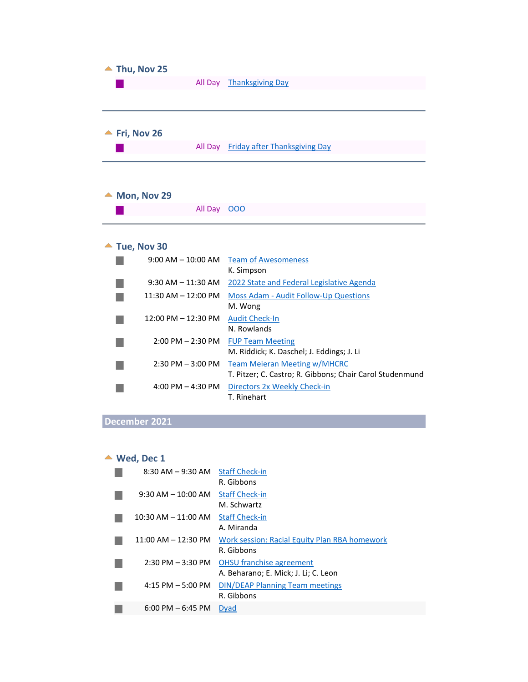<span id="page-12-2"></span><span id="page-12-1"></span><span id="page-12-0"></span>

| Thu, Nov 25             |                                                          |
|-------------------------|----------------------------------------------------------|
|                         | All Day Thanksgiving Day                                 |
|                         |                                                          |
|                         |                                                          |
|                         |                                                          |
| Fri, Nov 26             |                                                          |
|                         | All Day Friday after Thanksgiving Day                    |
|                         |                                                          |
|                         |                                                          |
| Mon, Nov 29             |                                                          |
| All Day 000             |                                                          |
|                         |                                                          |
|                         |                                                          |
| Tue, Nov 30             |                                                          |
|                         |                                                          |
| $9:00$ AM $-$ 10:00 AM  | <b>Team of Awesomeness</b>                               |
|                         | K. Simpson                                               |
| $9:30$ AM $-11:30$ AM   | 2022 State and Federal Legislative Agenda                |
| $11:30$ AM $- 12:00$ PM | <b>Moss Adam - Audit Follow-Up Questions</b>             |
|                         | M. Wong                                                  |
| $12:00$ PM $- 12:30$ PM | <b>Audit Check-In</b>                                    |
|                         | N. Rowlands                                              |
| $2:00$ PM $- 2:30$ PM   | <b>FUP Team Meeting</b>                                  |
|                         | M. Riddick; K. Daschel; J. Eddings; J. Li                |
| $2:30$ PM $-3:00$ PM    | <b>Team Meieran Meeting w/MHCRC</b>                      |
|                         | T. Pitzer; C. Castro; R. Gibbons; Chair Carol Studenmund |
| 4:00 PM $-$ 4:30 PM     | Directors 2x Weekly Check-in<br>T. Rinehart              |

# <span id="page-12-3"></span>**December 2021**

# **Wed, Dec 1**

<span id="page-12-4"></span>

| $8:30$ AM $-9:30$ AM    | <b>Staff Check-in</b><br>R. Gibbons                                     |
|-------------------------|-------------------------------------------------------------------------|
| $9:30$ AM $-10:00$ AM   | <b>Staff Check-in</b><br>M. Schwartz                                    |
| $10:30$ AM $- 11:00$ AM | <b>Staff Check-in</b><br>A. Miranda                                     |
| $11:00$ AM $- 12:30$ PM | Work session: Racial Equity Plan RBA homework<br>R. Gibbons             |
| $2:30$ PM $-3:30$ PM    | <b>OHSU</b> franchise agreement<br>A. Beharano; E. Mick; J. Li; C. Leon |
| $4:15$ PM $-5:00$ PM    | <b>DIN/DEAP Planning Team meetings</b><br>R. Gibbons                    |
| $6:00$ PM $-6:45$ PM    | <b>Dyad</b>                                                             |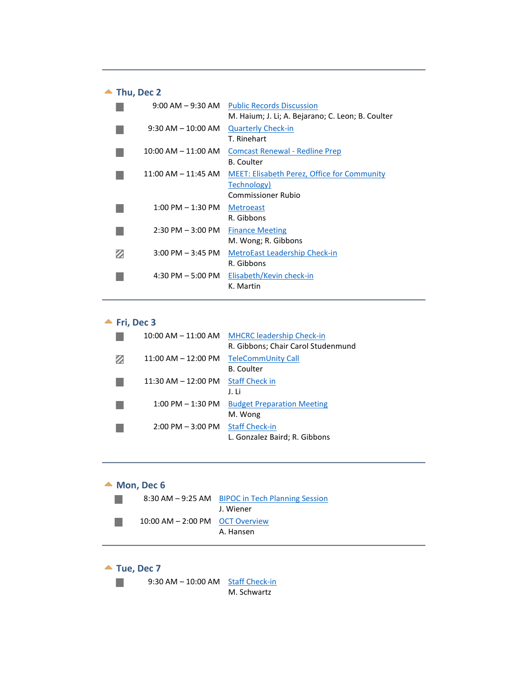<span id="page-13-0"></span>

| Thu, Dec 2                          |                                                                                         |
|-------------------------------------|-----------------------------------------------------------------------------------------|
| $9:00$ AM $-9:30$ AM                | <b>Public Records Discussion</b><br>M. Haium; J. Li; A. Bejarano; C. Leon; B. Coulter   |
| $9:30$ AM $-10:00$ AM               | <b>Quarterly Check-in</b><br>T. Rinehart                                                |
| $10:00$ AM $- 11:00$ AM             | <b>Comcast Renewal - Redline Prep</b><br><b>B.</b> Coulter                              |
| $11:00$ AM $- 11:45$ AM             | <b>MEET: Elisabeth Perez, Office for Community</b><br>Technology)<br>Commissioner Rubio |
| $1:00 \text{ PM} - 1:30 \text{ PM}$ | <b>Metroeast</b><br>R. Gibbons                                                          |
| $2:30$ PM $-3:00$ PM                | <b>Finance Meeting</b><br>M. Wong; R. Gibbons                                           |
| $3:00$ PM $-3:45$ PM                | <b>MetroEast Leadership Check-in</b><br>R. Gibbons                                      |
| $4:30$ PM $-5:00$ PM                | Elisabeth/Kevin check-in<br>K. Martin                                                   |

#### $\blacktriangle$  Fri, Dec 3

<span id="page-13-1"></span>

| $10:00$ AM $- 11:00$ AM | <b>MHCRC leadership Check-in</b>   |
|-------------------------|------------------------------------|
|                         | R. Gibbons; Chair Carol Studenmund |
| $11:00$ AM $- 12:00$ PM | TeleCommUnity Call                 |
|                         | <b>B.</b> Coulter                  |
| $11:30$ AM $- 12:00$ PM | <b>Staff Check in</b>              |
|                         | J. Li                              |
| $1:00$ PM $-1:30$ PM    | <b>Budget Preparation Meeting</b>  |
|                         | M. Wong                            |
| $2:00$ PM $-3:00$ PM    | <b>Staff Check-in</b>              |
|                         | L. Gonzalez Baird; R. Gibbons      |

#### <span id="page-13-2"></span>▲ Mon, Dec 6 8:30 AM - 9:25 AM BIPOC in Tech Planning Session  $\mathbb{R}^3$ J. Wiener 10:00 AM – 2:00 PM OCT Overview  $\mathbb{R}^n$ A. Hansen

<span id="page-13-3"></span>

M. Schwartz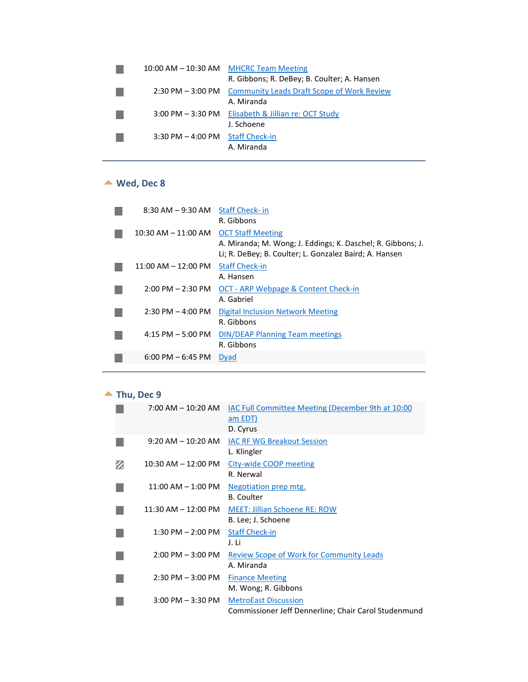|                       | 10:00 AM – 10:30 AM MHCRC Team Meeting<br>R. Gibbons; R. DeBey; B. Coulter; A. Hansen |
|-----------------------|---------------------------------------------------------------------------------------|
| $2:30$ PM $-3:00$ PM  | <b>Community Leads Draft Scope of Work Review</b><br>A. Miranda                       |
|                       | 3:00 PM - 3:30 PM Elisabeth & Jillian re: OCT Study<br>J. Schoene                     |
| $3:30$ PM $-$ 4:00 PM | <b>Staff Check-in</b><br>A. Miranda                                                   |

# **Wed, Dec 8**

<span id="page-14-0"></span>

| $8:30$ AM $-9:30$ AM                | <b>Staff Check-in</b><br>R. Gibbons                                                                                                               |
|-------------------------------------|---------------------------------------------------------------------------------------------------------------------------------------------------|
| $10:30$ AM $- 11:00$ AM             | <b>OCT Staff Meeting</b><br>A. Miranda; M. Wong; J. Eddings; K. Daschel; R. Gibbons; J.<br>Li; R. DeBey; B. Coulter; L. Gonzalez Baird; A. Hansen |
| $11:00$ AM $- 12:00$ PM             | <b>Staff Check-in</b><br>A. Hansen                                                                                                                |
| $2:00$ PM $- 2:30$ PM               | OCT - ARP Webpage & Content Check-in<br>A. Gabriel                                                                                                |
| $2:30$ PM $-$ 4:00 PM               | Digital Inclusion Network Meeting<br>R. Gibbons                                                                                                   |
| $4:15$ PM $-5:00$ PM                | <b>DIN/DEAP Planning Team meetings</b><br>R. Gibbons                                                                                              |
| $6:00 \text{ PM} - 6:45 \text{ PM}$ | <b>Dyad</b>                                                                                                                                       |
|                                     |                                                                                                                                                   |

# ▲ Thu, Dec 9

<span id="page-14-1"></span>

| 7:00 AM – 10:20 AM                  | <b>IAC Full Committee Meeting (December 9th at 10:00</b><br>am EDT)<br>D. Cyrus     |
|-------------------------------------|-------------------------------------------------------------------------------------|
| 9:20 AM – 10:20 AM                  | <b>IAC RF WG Breakout Session</b><br>L. Klingler                                    |
| 10:30 AM - 12:00 PM                 | City-wide COOP meeting<br>R. Nerwal                                                 |
| $11:00$ AM $-1:00$ PM               | Negotiation prep mtg.<br><b>B.</b> Coulter                                          |
| 11:30 AM – 12:00 PM                 | <b>MEET: Jillian Schoene RE: ROW</b><br>B. Lee; J. Schoene                          |
| $1:30$ PM $- 2:00$ PM               | <b>Staff Check-in</b><br>J. Li                                                      |
| $2:00 \text{ PM} - 3:00 \text{ PM}$ | Review Scope of Work for Community Leads<br>A. Miranda                              |
| $2:30$ PM $-3:00$ PM                | <b>Finance Meeting</b><br>M. Wong; R. Gibbons                                       |
| $3:00$ PM $-3:30$ PM                | <b>MetroEast Discussion</b><br>Commissioner Jeff Dennerline; Chair Carol Studenmund |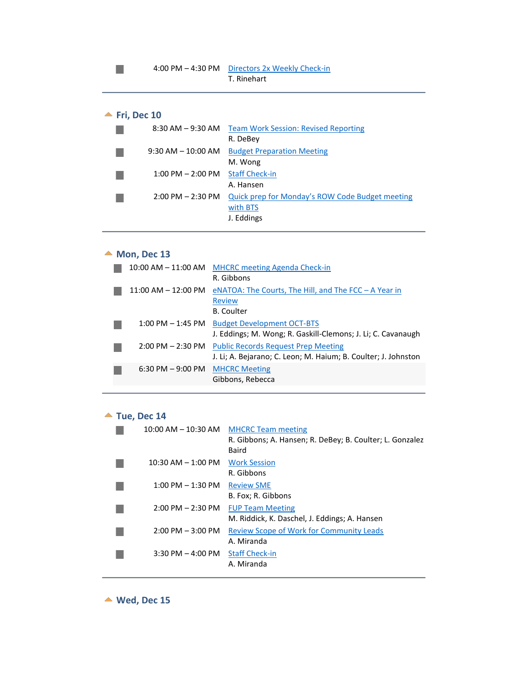# **<u>★ Fri, Dec 10</u>**

<span id="page-15-0"></span>

| $8:30$ AM $-9:30$ AM                | <b>Team Work Session: Revised Reporting</b><br>R. DeBey                   |
|-------------------------------------|---------------------------------------------------------------------------|
| $9:30$ AM $- 10:00$ AM              | <b>Budget Preparation Meeting</b><br>M. Wong                              |
| $1:00$ PM $- 2:00$ PM               | <b>Staff Check-in</b><br>A. Hansen                                        |
| $2:00 \text{ PM} - 2:30 \text{ PM}$ | Quick prep for Monday's ROW Code Budget meeting<br>with BTS<br>J. Eddings |

# ▲ Mon, Dec 13

<span id="page-15-1"></span>

|                         | 10:00 AM - 11:00 AM MHCRC meeting Agenda Check-in              |
|-------------------------|----------------------------------------------------------------|
|                         | R. Gibbons                                                     |
| $11:00$ AM $- 12:00$ PM | eNATOA: The Courts, The Hill, and The FCC $-$ A Year in        |
|                         | <b>Review</b>                                                  |
|                         | <b>B.</b> Coulter                                              |
| $1:00$ PM $-1:45$ PM    | <b>Budget Development OCT-BTS</b>                              |
|                         | J. Eddings; M. Wong; R. Gaskill-Clemons; J. Li; C. Cavanaugh   |
| $2:00$ PM $- 2:30$ PM   | <b>Public Records Request Prep Meeting</b>                     |
|                         | J. Li; A. Bejarano; C. Leon; M. Haium; B. Coulter; J. Johnston |
| $6:30$ PM $-9:00$ PM    | <b>MHCRC Meeting</b>                                           |
|                         | Gibbons, Rebecca                                               |
|                         |                                                                |

#### ▲ Tue, Dec 14

<span id="page-15-2"></span>

| $10:00$ AM $- 10:30$ AM             | <b>MHCRC Team meeting</b>                                |
|-------------------------------------|----------------------------------------------------------|
|                                     | R. Gibbons; A. Hansen; R. DeBey; B. Coulter; L. Gonzalez |
|                                     | Baird                                                    |
| $10:30$ AM $- 1:00$ PM              | <b>Work Session</b>                                      |
|                                     | R. Gibbons                                               |
| $1:00$ PM $-1:30$ PM                | <b>Review SME</b>                                        |
|                                     | B. Fox; R. Gibbons                                       |
| $2:00 \text{ PM} - 2:30 \text{ PM}$ | <b>FUP Team Meeting</b>                                  |
|                                     | M. Riddick, K. Daschel, J. Eddings; A. Hansen            |
| $2:00$ PM $-3:00$ PM                | <b>Review Scope of Work for Community Leads</b>          |
|                                     | A. Miranda                                               |
| $3:30$ PM $-4:00$ PM                | <b>Staff Check-in</b>                                    |
|                                     | A. Miranda                                               |
|                                     |                                                          |

<span id="page-15-3"></span>**Wed, Dec 15**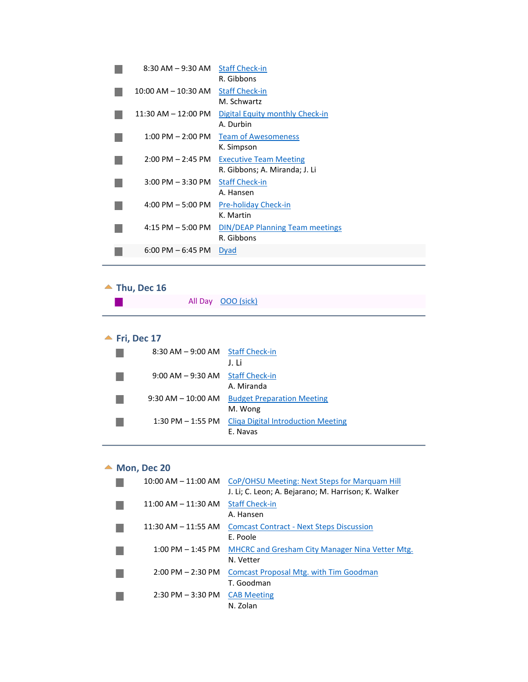| $8:30$ AM $-9:30$ AM Staff Check-in | R. Gibbons                                                     |
|-------------------------------------|----------------------------------------------------------------|
| $10:00$ AM $- 10:30$ AM             | <b>Staff Check-in</b><br>M. Schwartz                           |
| $11:30$ AM $-12:00$ PM              | Digital Equity monthly Check-in<br>A. Durbin                   |
| $1:00$ PM $- 2:00$ PM               | <b>Team of Awesomeness</b><br>K. Simpson                       |
| $2:00$ PM $- 2:45$ PM               | <b>Executive Team Meeting</b><br>R. Gibbons; A. Miranda; J. Li |
| $3:00$ PM $-3:30$ PM                | <b>Staff Check-in</b><br>A. Hansen                             |
| $4:00 \text{ PM} - 5:00 \text{ PM}$ | <b>Pre-holiday Check-in</b><br>K. Martin                       |
| $4:15$ PM $-5:00$ PM                | <b>DIN/DEAP Planning Team meetings</b><br>R. Gibbons           |
| $6:00 \text{ PM} - 6:45 \text{ PM}$ | <b>Dyad</b>                                                    |

# <span id="page-16-0"></span>▲ Thu, Dec 16

| All Day 000 (sick) |
|--------------------|
|                    |

# **<u>★ Fri, Dec 17</u>**

<span id="page-16-1"></span>

| 8:30 AM - 9:00 AM Staff Check-in |                                           |
|----------------------------------|-------------------------------------------|
|                                  | J. Li                                     |
| 9:00 AM - 9:30 AM Staff Check-in |                                           |
|                                  | A. Miranda                                |
| $9:30$ AM $-10:00$ AM            | <b>Budget Preparation Meeting</b>         |
|                                  | M. Wong                                   |
| $1:30$ PM $-1:55$ PM             | <b>Cliga Digital Introduction Meeting</b> |
|                                  | E. Navas                                  |

# ▲ Mon, Dec 20

<span id="page-16-2"></span>

| $10:00$ AM $- 11:00$ AM             | CoP/OHSU Meeting: Next Steps for Marquam Hill          |
|-------------------------------------|--------------------------------------------------------|
|                                     | J. Li; C. Leon; A. Bejarano; M. Harrison; K. Walker    |
| $11:00$ AM $- 11:30$ AM             | <b>Staff Check-in</b>                                  |
|                                     | A. Hansen                                              |
| $11:30$ AM $- 11:55$ AM             | <b>Comcast Contract - Next Steps Discussion</b>        |
|                                     | E. Poole                                               |
| $1:00 \text{ PM} - 1:45 \text{ PM}$ | <b>MHCRC and Gresham City Manager Nina Vetter Mtg.</b> |
|                                     | N. Vetter                                              |
| $2:00$ PM $- 2:30$ PM               | <b>Comcast Proposal Mtg. with Tim Goodman</b>          |
|                                     | T. Goodman                                             |
| $2:30$ PM $-3:30$ PM                | <b>CAB Meeting</b>                                     |
|                                     | N. Zolan                                               |
|                                     |                                                        |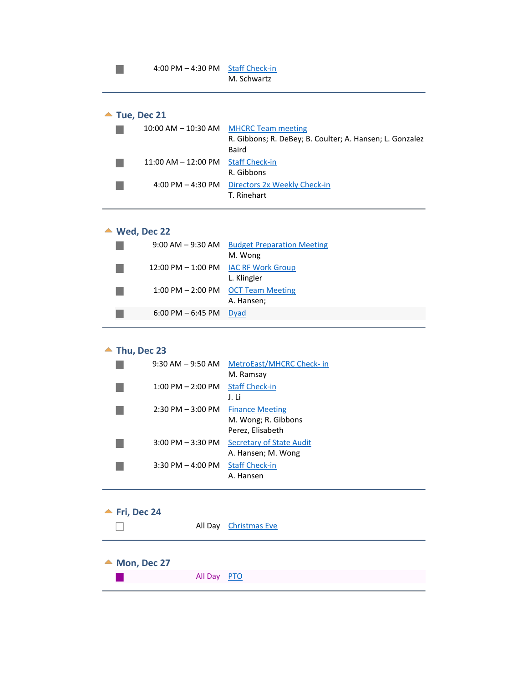<span id="page-17-0"></span>

| $\blacktriangle$ Tue, Dec 21 |                         |                                                                                                             |
|------------------------------|-------------------------|-------------------------------------------------------------------------------------------------------------|
|                              |                         | 10:00 AM – 10:30 AM MHCRC Team meeting<br>R. Gibbons; R. DeBey; B. Coulter; A. Hansen; L. Gonzalez<br>Baird |
|                              | $11:00$ AM $- 12:00$ PM | <b>Staff Check-in</b><br>R. Gibbons                                                                         |
|                              | 4:00 PM $-$ 4:30 PM     | Directors 2x Weekly Check-in<br>T. Rinehart                                                                 |

#### **Wed, Dec 22**

 $\mathcal{L}_{\mathcal{A}}$ 

<span id="page-17-1"></span>

| $9:00$ AM $ 9:30$ AM                 | <b>Budget Preparation Meeting</b>        |
|--------------------------------------|------------------------------------------|
|                                      | M. Wong                                  |
| 12:00 PM - 1:00 PM IAC RF Work Group |                                          |
|                                      | L. Klingler                              |
|                                      | 1:00 PM $-$ 2:00 PM $-$ OCT Team Meeting |
|                                      | A. Hansen;                               |
| $6:00$ PM $-6:45$ PM                 | Dyad                                     |
|                                      |                                          |

# ▲ Thu, Dec 23

<span id="page-17-2"></span>

| $9:30$ AM $-9:50$ AM  | MetroEast/MHCRC Check- in<br>M. Ramsay                            |
|-----------------------|-------------------------------------------------------------------|
| $1:00$ PM $- 2:00$ PM | <b>Staff Check-in</b><br>J. Li                                    |
| $2:30$ PM $-3:00$ PM  | <b>Finance Meeting</b><br>M. Wong; R. Gibbons<br>Perez, Elisabeth |
| $3:00$ PM $-3:30$ PM  | Secretary of State Audit<br>A. Hansen; M. Wong                    |
| $3:30$ PM $-$ 4:00 PM | <b>Staff Check-in</b><br>A. Hansen                                |

# **Fri, Dec 24**

<span id="page-17-3"></span>

|  | All Day Christmas Eve |
|--|-----------------------|
|  |                       |

# <span id="page-17-4"></span>▲ Mon, Dec 27

| All Day PTO |  |
|-------------|--|
|             |  |